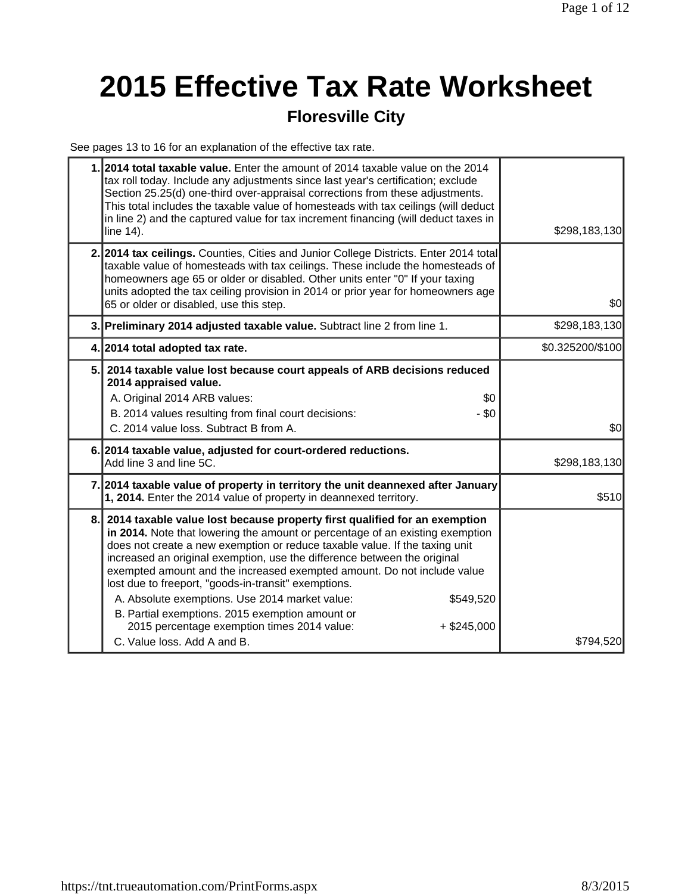# **2015 Effective Tax Rate Worksheet**

### **Floresville City**

See pages 13 to 16 for an explanation of the effective tax rate.

|    | 1.2014 total taxable value. Enter the amount of 2014 taxable value on the 2014<br>tax roll today. Include any adjustments since last year's certification; exclude<br>Section 25.25(d) one-third over-appraisal corrections from these adjustments.<br>This total includes the taxable value of homesteads with tax ceilings (will deduct<br>in line 2) and the captured value for tax increment financing (will deduct taxes in<br>line 14).                                                                                                                                                                                                                             | \$298,183,130    |
|----|---------------------------------------------------------------------------------------------------------------------------------------------------------------------------------------------------------------------------------------------------------------------------------------------------------------------------------------------------------------------------------------------------------------------------------------------------------------------------------------------------------------------------------------------------------------------------------------------------------------------------------------------------------------------------|------------------|
|    | 2. 2014 tax ceilings. Counties, Cities and Junior College Districts. Enter 2014 total<br>taxable value of homesteads with tax ceilings. These include the homesteads of<br>homeowners age 65 or older or disabled. Other units enter "0" If your taxing<br>units adopted the tax ceiling provision in 2014 or prior year for homeowners age<br>65 or older or disabled, use this step.                                                                                                                                                                                                                                                                                    | \$0              |
|    | 3. Preliminary 2014 adjusted taxable value. Subtract line 2 from line 1.                                                                                                                                                                                                                                                                                                                                                                                                                                                                                                                                                                                                  | \$298,183,130    |
|    | 4. 2014 total adopted tax rate.                                                                                                                                                                                                                                                                                                                                                                                                                                                                                                                                                                                                                                           | \$0.325200/\$100 |
|    | 5. 2014 taxable value lost because court appeals of ARB decisions reduced<br>2014 appraised value.<br>A. Original 2014 ARB values:<br>\$0<br>- \$0<br>B. 2014 values resulting from final court decisions:<br>C. 2014 value loss. Subtract B from A.                                                                                                                                                                                                                                                                                                                                                                                                                      | \$0              |
|    | 6. 2014 taxable value, adjusted for court-ordered reductions.<br>Add line 3 and line 5C.                                                                                                                                                                                                                                                                                                                                                                                                                                                                                                                                                                                  | \$298,183,130    |
|    | 7. 2014 taxable value of property in territory the unit deannexed after January<br>1, 2014. Enter the 2014 value of property in deannexed territory.                                                                                                                                                                                                                                                                                                                                                                                                                                                                                                                      | \$510            |
| 8. | 2014 taxable value lost because property first qualified for an exemption<br>in 2014. Note that lowering the amount or percentage of an existing exemption<br>does not create a new exemption or reduce taxable value. If the taxing unit<br>increased an original exemption, use the difference between the original<br>exempted amount and the increased exempted amount. Do not include value<br>lost due to freeport, "goods-in-transit" exemptions.<br>A. Absolute exemptions. Use 2014 market value:<br>\$549,520<br>B. Partial exemptions. 2015 exemption amount or<br>2015 percentage exemption times 2014 value:<br>$+$ \$245,000<br>C. Value loss, Add A and B. | \$794,520        |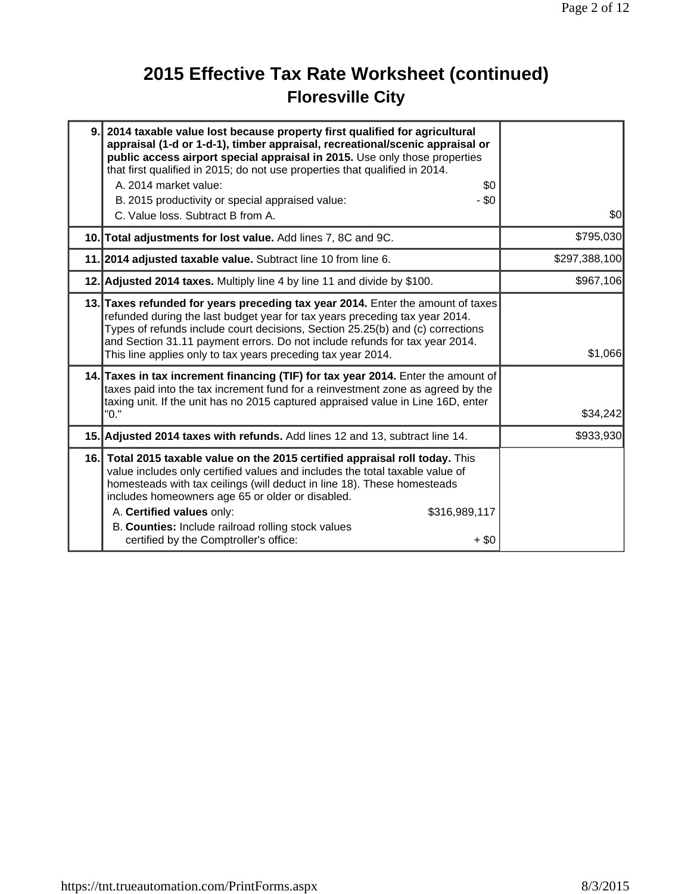# **2015 Effective Tax Rate Worksheet (continued) Floresville City**

| 9. 2014 taxable value lost because property first qualified for agricultural<br>appraisal (1-d or 1-d-1), timber appraisal, recreational/scenic appraisal or<br>public access airport special appraisal in 2015. Use only those properties<br>that first qualified in 2015; do not use properties that qualified in 2014.                                                                                                                             |               |
|-------------------------------------------------------------------------------------------------------------------------------------------------------------------------------------------------------------------------------------------------------------------------------------------------------------------------------------------------------------------------------------------------------------------------------------------------------|---------------|
| A. 2014 market value:<br>\$0                                                                                                                                                                                                                                                                                                                                                                                                                          |               |
| $-$ \$0<br>B. 2015 productivity or special appraised value:<br>C. Value loss. Subtract B from A.                                                                                                                                                                                                                                                                                                                                                      | \$0           |
| 10. Total adjustments for lost value. Add lines 7, 8C and 9C.                                                                                                                                                                                                                                                                                                                                                                                         | \$795,030     |
| 11. 2014 adjusted taxable value. Subtract line 10 from line 6.                                                                                                                                                                                                                                                                                                                                                                                        | \$297,388,100 |
| 12. Adjusted 2014 taxes. Multiply line 4 by line 11 and divide by \$100.                                                                                                                                                                                                                                                                                                                                                                              | \$967,106     |
| 13. Taxes refunded for years preceding tax year 2014. Enter the amount of taxes<br>refunded during the last budget year for tax years preceding tax year 2014.<br>Types of refunds include court decisions, Section 25.25(b) and (c) corrections<br>and Section 31.11 payment errors. Do not include refunds for tax year 2014.<br>This line applies only to tax years preceding tax year 2014.                                                       | \$1,066       |
| 14. Taxes in tax increment financing (TIF) for tax year 2014. Enter the amount of<br>taxes paid into the tax increment fund for a reinvestment zone as agreed by the<br>taxing unit. If the unit has no 2015 captured appraised value in Line 16D, enter<br>"0."                                                                                                                                                                                      | \$34,242      |
| 15. Adjusted 2014 taxes with refunds. Add lines 12 and 13, subtract line 14.                                                                                                                                                                                                                                                                                                                                                                          | \$933,930     |
| 16. Total 2015 taxable value on the 2015 certified appraisal roll today. This<br>value includes only certified values and includes the total taxable value of<br>homesteads with tax ceilings (will deduct in line 18). These homesteads<br>includes homeowners age 65 or older or disabled.<br>A. Certified values only:<br>\$316,989,117<br>B. Counties: Include railroad rolling stock values<br>certified by the Comptroller's office:<br>$+$ \$0 |               |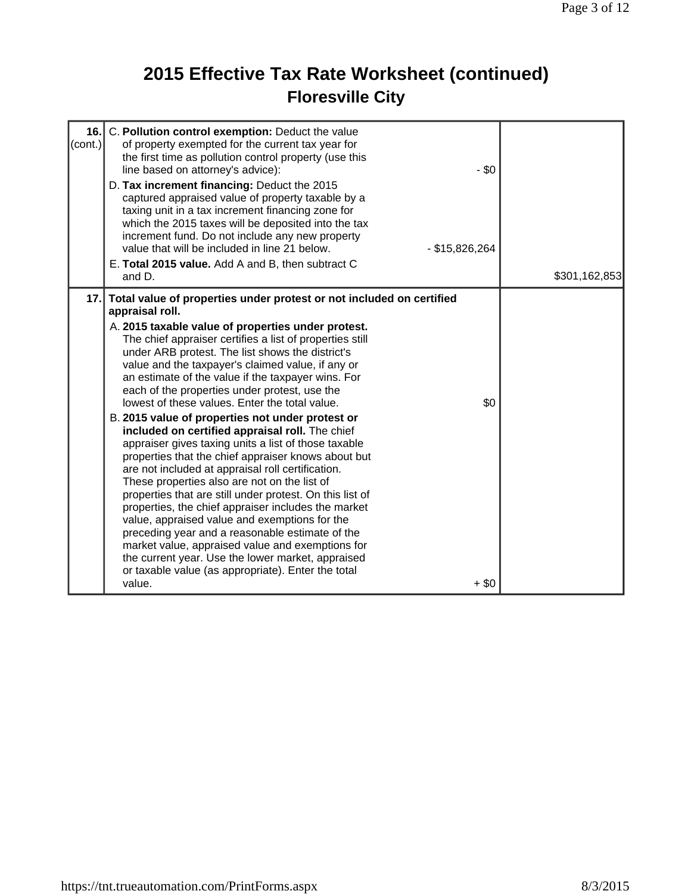# **2015 Effective Tax Rate Worksheet (continued) Floresville City**

| 16.<br>(cont.) | C. Pollution control exemption: Deduct the value<br>of property exempted for the current tax year for<br>the first time as pollution control property (use this<br>line based on attorney's advice):<br>D. Tax increment financing: Deduct the 2015<br>captured appraised value of property taxable by a<br>taxing unit in a tax increment financing zone for                                                                                                                                                                                                                                                                                                                                                                                                                                                                                                                                                                                                                                                                                                                                                                                                                                          | $-$ \$0          |               |
|----------------|--------------------------------------------------------------------------------------------------------------------------------------------------------------------------------------------------------------------------------------------------------------------------------------------------------------------------------------------------------------------------------------------------------------------------------------------------------------------------------------------------------------------------------------------------------------------------------------------------------------------------------------------------------------------------------------------------------------------------------------------------------------------------------------------------------------------------------------------------------------------------------------------------------------------------------------------------------------------------------------------------------------------------------------------------------------------------------------------------------------------------------------------------------------------------------------------------------|------------------|---------------|
|                | which the 2015 taxes will be deposited into the tax<br>increment fund. Do not include any new property<br>value that will be included in line 21 below.<br>E. Total 2015 value. Add A and B, then subtract C<br>and D.                                                                                                                                                                                                                                                                                                                                                                                                                                                                                                                                                                                                                                                                                                                                                                                                                                                                                                                                                                                 | $-$ \$15,826,264 | \$301,162,853 |
| 17.            | Total value of properties under protest or not included on certified<br>appraisal roll.<br>A. 2015 taxable value of properties under protest.<br>The chief appraiser certifies a list of properties still<br>under ARB protest. The list shows the district's<br>value and the taxpayer's claimed value, if any or<br>an estimate of the value if the taxpayer wins. For<br>each of the properties under protest, use the<br>lowest of these values. Enter the total value.<br>B. 2015 value of properties not under protest or<br>included on certified appraisal roll. The chief<br>appraiser gives taxing units a list of those taxable<br>properties that the chief appraiser knows about but<br>are not included at appraisal roll certification.<br>These properties also are not on the list of<br>properties that are still under protest. On this list of<br>properties, the chief appraiser includes the market<br>value, appraised value and exemptions for the<br>preceding year and a reasonable estimate of the<br>market value, appraised value and exemptions for<br>the current year. Use the lower market, appraised<br>or taxable value (as appropriate). Enter the total<br>value. | \$0<br>$+$ \$0   |               |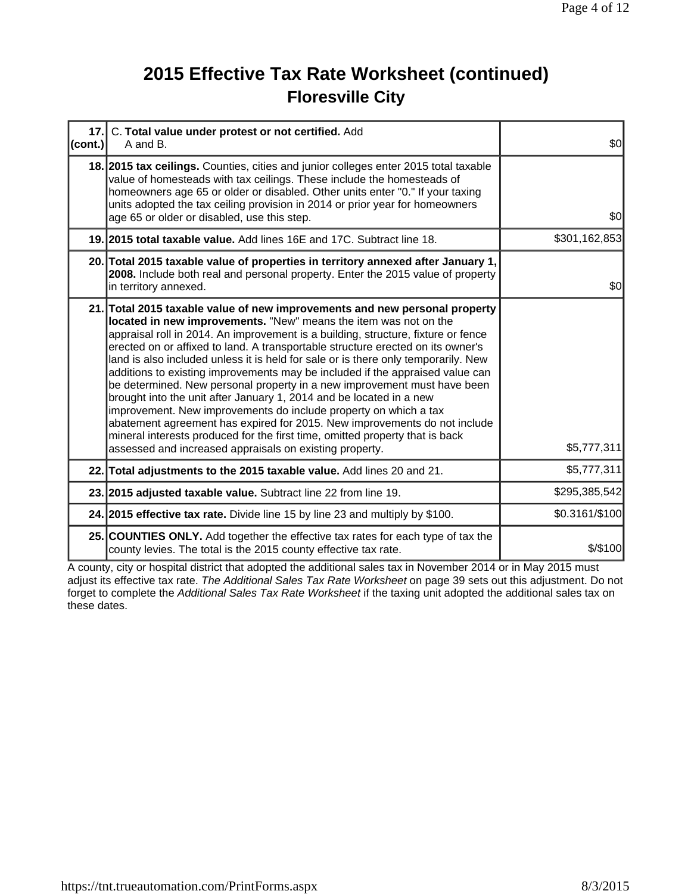## **2015 Effective Tax Rate Worksheet (continued) Floresville City**

| 17.<br>(cont.) | C. Total value under protest or not certified. Add<br>A and B.                                                                                                                                                                                                                                                                                                                                                                                                                                                                                                                                                                                                                                                                                                                                                                                                                                                                               | \$0            |
|----------------|----------------------------------------------------------------------------------------------------------------------------------------------------------------------------------------------------------------------------------------------------------------------------------------------------------------------------------------------------------------------------------------------------------------------------------------------------------------------------------------------------------------------------------------------------------------------------------------------------------------------------------------------------------------------------------------------------------------------------------------------------------------------------------------------------------------------------------------------------------------------------------------------------------------------------------------------|----------------|
|                | 18. 2015 tax ceilings. Counties, cities and junior colleges enter 2015 total taxable<br>value of homesteads with tax ceilings. These include the homesteads of<br>homeowners age 65 or older or disabled. Other units enter "0." If your taxing<br>units adopted the tax ceiling provision in 2014 or prior year for homeowners<br>age 65 or older or disabled, use this step.                                                                                                                                                                                                                                                                                                                                                                                                                                                                                                                                                               | \$0            |
|                | 19. 2015 total taxable value. Add lines 16E and 17C. Subtract line 18.                                                                                                                                                                                                                                                                                                                                                                                                                                                                                                                                                                                                                                                                                                                                                                                                                                                                       | \$301,162,853  |
|                | 20. Total 2015 taxable value of properties in territory annexed after January 1,<br>2008. Include both real and personal property. Enter the 2015 value of property<br>in territory annexed.                                                                                                                                                                                                                                                                                                                                                                                                                                                                                                                                                                                                                                                                                                                                                 | \$0            |
|                | 21. Total 2015 taxable value of new improvements and new personal property<br>located in new improvements. "New" means the item was not on the<br>appraisal roll in 2014. An improvement is a building, structure, fixture or fence<br>erected on or affixed to land. A transportable structure erected on its owner's<br>land is also included unless it is held for sale or is there only temporarily. New<br>additions to existing improvements may be included if the appraised value can<br>be determined. New personal property in a new improvement must have been<br>brought into the unit after January 1, 2014 and be located in a new<br>improvement. New improvements do include property on which a tax<br>abatement agreement has expired for 2015. New improvements do not include<br>mineral interests produced for the first time, omitted property that is back<br>assessed and increased appraisals on existing property. | \$5,777,311    |
|                | 22. Total adjustments to the 2015 taxable value. Add lines 20 and 21.                                                                                                                                                                                                                                                                                                                                                                                                                                                                                                                                                                                                                                                                                                                                                                                                                                                                        | \$5,777,311    |
|                | 23. 2015 adjusted taxable value. Subtract line 22 from line 19.                                                                                                                                                                                                                                                                                                                                                                                                                                                                                                                                                                                                                                                                                                                                                                                                                                                                              | \$295,385,542  |
|                | 24. 2015 effective tax rate. Divide line 15 by line 23 and multiply by \$100.                                                                                                                                                                                                                                                                                                                                                                                                                                                                                                                                                                                                                                                                                                                                                                                                                                                                | \$0.3161/\$100 |
|                | 25. COUNTIES ONLY. Add together the effective tax rates for each type of tax the<br>county levies. The total is the 2015 county effective tax rate.                                                                                                                                                                                                                                                                                                                                                                                                                                                                                                                                                                                                                                                                                                                                                                                          | $$$ /\$100     |

A county, city or hospital district that adopted the additional sales tax in November 2014 or in May 2015 must adjust its effective tax rate. *The Additional Sales Tax Rate Worksheet* on page 39 sets out this adjustment. Do not forget to complete the *Additional Sales Tax Rate Worksheet* if the taxing unit adopted the additional sales tax on these dates.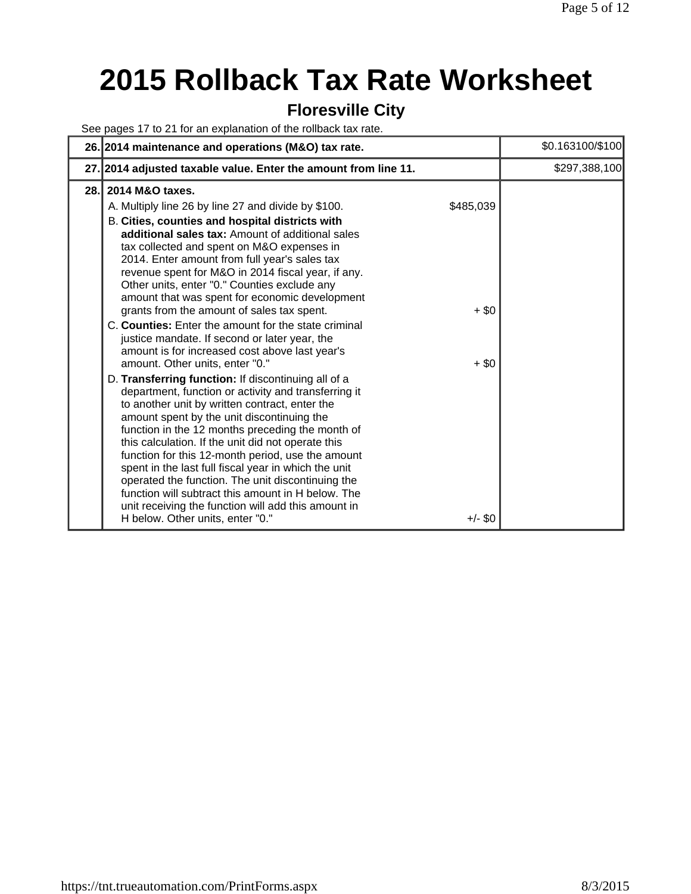# **2015 Rollback Tax Rate Worksheet**

#### **Floresville City**

See pages 17 to 21 for an explanation of the rollback tax rate.

|      | 26. 2014 maintenance and operations (M&O) tax rate.                                                                                                                                                                                                                                                                                                                                                                                                                                                                                                                                                                                                                                                                           |                      | \$0.163100/\$100 |
|------|-------------------------------------------------------------------------------------------------------------------------------------------------------------------------------------------------------------------------------------------------------------------------------------------------------------------------------------------------------------------------------------------------------------------------------------------------------------------------------------------------------------------------------------------------------------------------------------------------------------------------------------------------------------------------------------------------------------------------------|----------------------|------------------|
|      | 27. 2014 adjusted taxable value. Enter the amount from line 11.                                                                                                                                                                                                                                                                                                                                                                                                                                                                                                                                                                                                                                                               |                      | \$297,388,100    |
| 28.1 | 2014 M&O taxes.<br>A. Multiply line 26 by line 27 and divide by \$100.<br>B. Cities, counties and hospital districts with<br>additional sales tax: Amount of additional sales<br>tax collected and spent on M&O expenses in<br>2014. Enter amount from full year's sales tax<br>revenue spent for M&O in 2014 fiscal year, if any.<br>Other units, enter "0." Counties exclude any<br>amount that was spent for economic development<br>grants from the amount of sales tax spent.<br>C. Counties: Enter the amount for the state criminal<br>justice mandate. If second or later year, the                                                                                                                                   | \$485,039<br>$+$ \$0 |                  |
|      | amount is for increased cost above last year's<br>amount. Other units, enter "0."<br>D. Transferring function: If discontinuing all of a<br>department, function or activity and transferring it<br>to another unit by written contract, enter the<br>amount spent by the unit discontinuing the<br>function in the 12 months preceding the month of<br>this calculation. If the unit did not operate this<br>function for this 12-month period, use the amount<br>spent in the last full fiscal year in which the unit<br>operated the function. The unit discontinuing the<br>function will subtract this amount in H below. The<br>unit receiving the function will add this amount in<br>H below. Other units, enter "0." | $+$ \$0<br>$+/-$ \$0 |                  |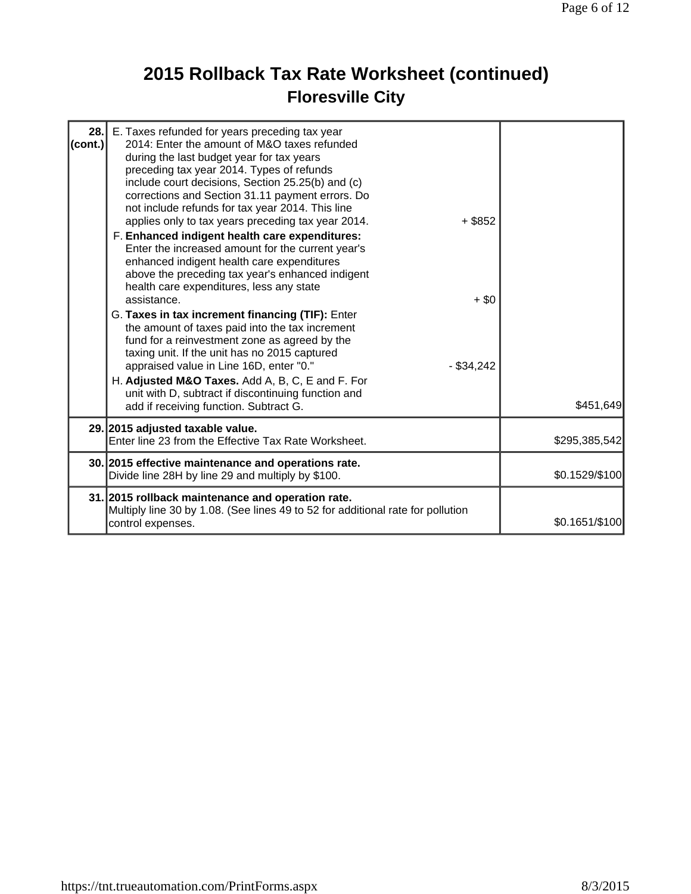# **2015 Rollback Tax Rate Worksheet (continued) Floresville City**

| 28.<br>(cont.) | E. Taxes refunded for years preceding tax year<br>2014: Enter the amount of M&O taxes refunded<br>during the last budget year for tax years<br>preceding tax year 2014. Types of refunds<br>include court decisions, Section 25.25(b) and (c)<br>corrections and Section 31.11 payment errors. Do<br>not include refunds for tax year 2014. This line<br>applies only to tax years preceding tax year 2014.<br>$+$ \$852<br>F. Enhanced indigent health care expenditures:<br>Enter the increased amount for the current year's<br>enhanced indigent health care expenditures<br>above the preceding tax year's enhanced indigent<br>health care expenditures, less any state<br>assistance.<br>$+$ \$0<br>G. Taxes in tax increment financing (TIF): Enter<br>the amount of taxes paid into the tax increment<br>fund for a reinvestment zone as agreed by the<br>taxing unit. If the unit has no 2015 captured<br>appraised value in Line 16D, enter "0."<br>$-$ \$34,242<br>H. Adjusted M&O Taxes. Add A, B, C, E and F. For |                |
|----------------|---------------------------------------------------------------------------------------------------------------------------------------------------------------------------------------------------------------------------------------------------------------------------------------------------------------------------------------------------------------------------------------------------------------------------------------------------------------------------------------------------------------------------------------------------------------------------------------------------------------------------------------------------------------------------------------------------------------------------------------------------------------------------------------------------------------------------------------------------------------------------------------------------------------------------------------------------------------------------------------------------------------------------------|----------------|
|                | unit with D, subtract if discontinuing function and<br>add if receiving function. Subtract G.                                                                                                                                                                                                                                                                                                                                                                                                                                                                                                                                                                                                                                                                                                                                                                                                                                                                                                                                   | \$451,649      |
|                | 29. 2015 adjusted taxable value.<br>Enter line 23 from the Effective Tax Rate Worksheet.                                                                                                                                                                                                                                                                                                                                                                                                                                                                                                                                                                                                                                                                                                                                                                                                                                                                                                                                        | \$295,385,542  |
|                | 30. 2015 effective maintenance and operations rate.<br>Divide line 28H by line 29 and multiply by \$100.                                                                                                                                                                                                                                                                                                                                                                                                                                                                                                                                                                                                                                                                                                                                                                                                                                                                                                                        | \$0.1529/\$100 |
|                | 31. 2015 rollback maintenance and operation rate.<br>Multiply line 30 by 1.08. (See lines 49 to 52 for additional rate for pollution<br>control expenses.                                                                                                                                                                                                                                                                                                                                                                                                                                                                                                                                                                                                                                                                                                                                                                                                                                                                       | \$0.1651/\$100 |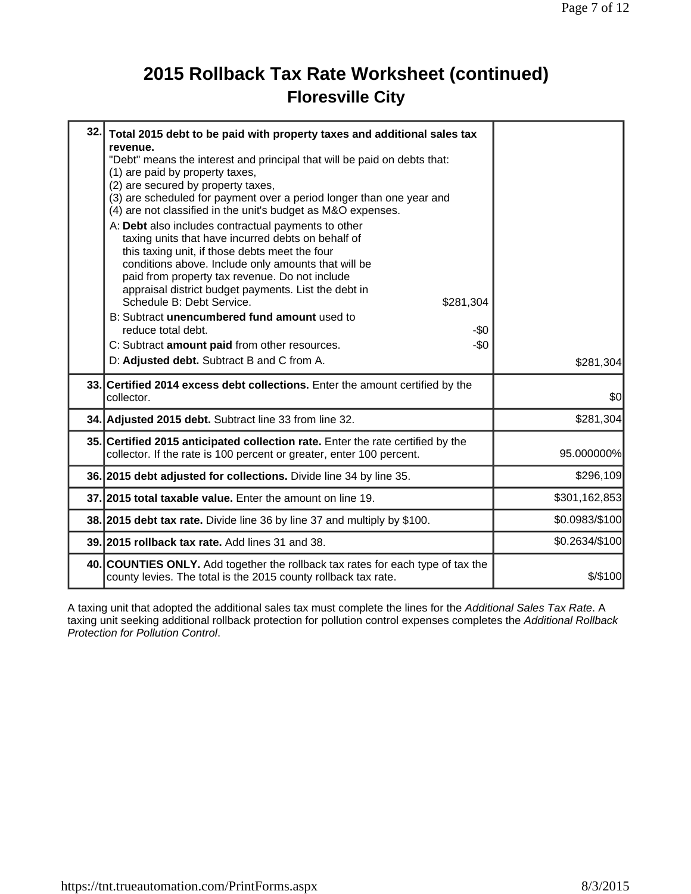## **2015 Rollback Tax Rate Worksheet (continued) Floresville City**

| 32. | Total 2015 debt to be paid with property taxes and additional sales tax<br>revenue.<br>"Debt" means the interest and principal that will be paid on debts that:<br>(1) are paid by property taxes,<br>(2) are secured by property taxes,<br>(3) are scheduled for payment over a period longer than one year and<br>(4) are not classified in the unit's budget as M&O expenses.<br>A: Debt also includes contractual payments to other<br>taxing units that have incurred debts on behalf of<br>this taxing unit, if those debts meet the four<br>conditions above. Include only amounts that will be<br>paid from property tax revenue. Do not include<br>appraisal district budget payments. List the debt in<br>Schedule B: Debt Service.<br>\$281,304<br>B: Subtract unencumbered fund amount used to<br>reduce total debt.<br>$-50$<br>C: Subtract amount paid from other resources.<br>-\$0<br>D: Adjusted debt. Subtract B and C from A. | \$281,304      |
|-----|--------------------------------------------------------------------------------------------------------------------------------------------------------------------------------------------------------------------------------------------------------------------------------------------------------------------------------------------------------------------------------------------------------------------------------------------------------------------------------------------------------------------------------------------------------------------------------------------------------------------------------------------------------------------------------------------------------------------------------------------------------------------------------------------------------------------------------------------------------------------------------------------------------------------------------------------------|----------------|
|     | 33. Certified 2014 excess debt collections. Enter the amount certified by the<br>collector.                                                                                                                                                                                                                                                                                                                                                                                                                                                                                                                                                                                                                                                                                                                                                                                                                                                      | \$0            |
|     | 34. Adjusted 2015 debt. Subtract line 33 from line 32.                                                                                                                                                                                                                                                                                                                                                                                                                                                                                                                                                                                                                                                                                                                                                                                                                                                                                           | \$281,304      |
|     | 35. Certified 2015 anticipated collection rate. Enter the rate certified by the<br>collector. If the rate is 100 percent or greater, enter 100 percent.                                                                                                                                                                                                                                                                                                                                                                                                                                                                                                                                                                                                                                                                                                                                                                                          | 95.000000%     |
|     | 36. 2015 debt adjusted for collections. Divide line 34 by line 35.                                                                                                                                                                                                                                                                                                                                                                                                                                                                                                                                                                                                                                                                                                                                                                                                                                                                               | \$296,109      |
|     | 37. 2015 total taxable value. Enter the amount on line 19.                                                                                                                                                                                                                                                                                                                                                                                                                                                                                                                                                                                                                                                                                                                                                                                                                                                                                       | \$301,162,853  |
|     | 38. 2015 debt tax rate. Divide line 36 by line 37 and multiply by \$100.                                                                                                                                                                                                                                                                                                                                                                                                                                                                                                                                                                                                                                                                                                                                                                                                                                                                         | \$0.0983/\$100 |
|     | 39. 2015 rollback tax rate. Add lines 31 and 38.                                                                                                                                                                                                                                                                                                                                                                                                                                                                                                                                                                                                                                                                                                                                                                                                                                                                                                 | \$0.2634/\$100 |
|     | 40. COUNTIES ONLY. Add together the rollback tax rates for each type of tax the<br>county levies. The total is the 2015 county rollback tax rate.                                                                                                                                                                                                                                                                                                                                                                                                                                                                                                                                                                                                                                                                                                                                                                                                | $$$ /\$100     |

A taxing unit that adopted the additional sales tax must complete the lines for the *Additional Sales Tax Rate*. A taxing unit seeking additional rollback protection for pollution control expenses completes the *Additional Rollback Protection for Pollution Control*.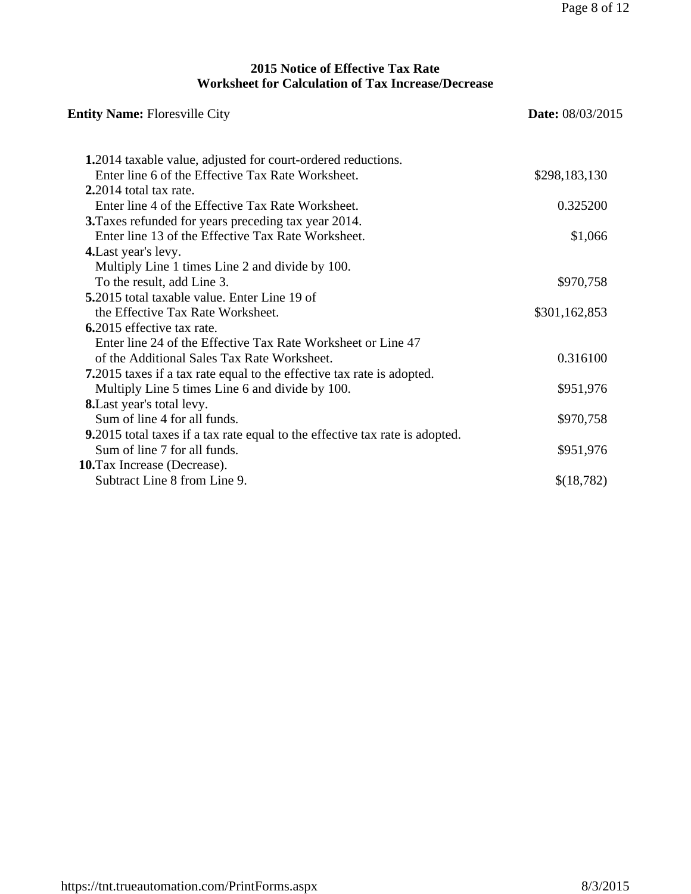#### **2015 Notice of Effective Tax Rate Worksheet for Calculation of Tax Increase/Decrease**

| <b>Entity Name: Floresville City</b>                                           | <b>Date:</b> 08/03/2015 |  |
|--------------------------------------------------------------------------------|-------------------------|--|
| <b>1.2014</b> taxable value, adjusted for court-ordered reductions.            |                         |  |
| Enter line 6 of the Effective Tax Rate Worksheet.                              | \$298,183,130           |  |
| 2.2014 total tax rate.                                                         |                         |  |
| Enter line 4 of the Effective Tax Rate Worksheet.                              | 0.325200                |  |
| 3. Taxes refunded for years preceding tax year 2014.                           |                         |  |
| Enter line 13 of the Effective Tax Rate Worksheet.                             | \$1,066                 |  |
| 4. Last year's levy.                                                           |                         |  |
| Multiply Line 1 times Line 2 and divide by 100.                                |                         |  |
| To the result, add Line 3.                                                     | \$970,758               |  |
| 5.2015 total taxable value. Enter Line 19 of                                   |                         |  |
| the Effective Tax Rate Worksheet.                                              | \$301,162,853           |  |
| 6.2015 effective tax rate.                                                     |                         |  |
| Enter line 24 of the Effective Tax Rate Worksheet or Line 47                   |                         |  |
| of the Additional Sales Tax Rate Worksheet.                                    | 0.316100                |  |
| <b>7.</b> 2015 taxes if a tax rate equal to the effective tax rate is adopted. |                         |  |
| Multiply Line 5 times Line 6 and divide by 100.                                | \$951,976               |  |
| <b>8.</b> Last year's total levy.                                              |                         |  |
| Sum of line 4 for all funds.                                                   | \$970,758               |  |
| 9.2015 total taxes if a tax rate equal to the effective tax rate is adopted.   |                         |  |
| Sum of line 7 for all funds.                                                   | \$951,976               |  |
| 10. Tax Increase (Decrease).                                                   |                         |  |
| Subtract Line 8 from Line 9.                                                   | \$(18,782)              |  |
|                                                                                |                         |  |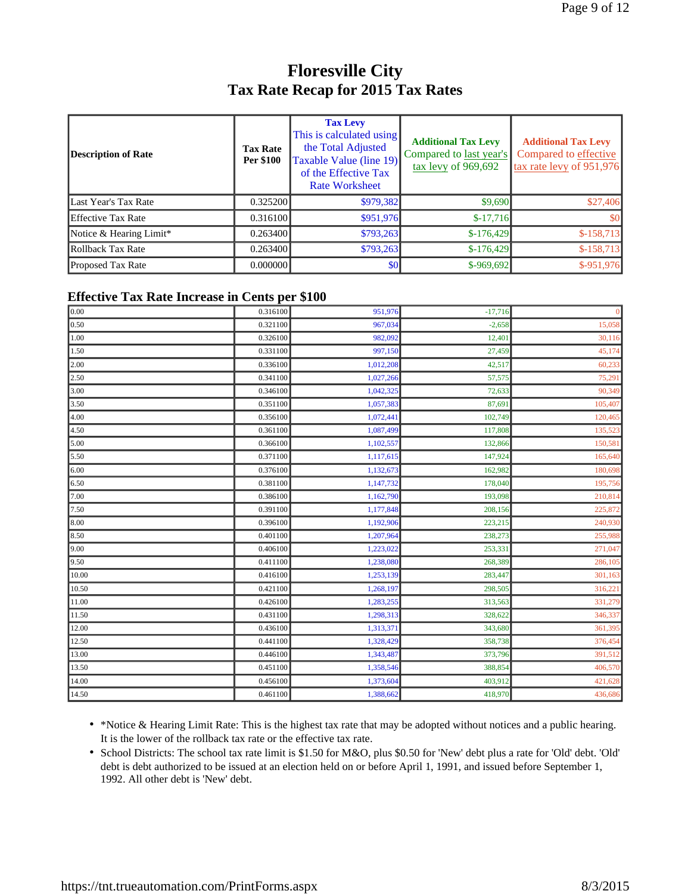#### **Floresville City Tax Rate Recap for 2015 Tax Rates**

| <b>Description of Rate</b> | <b>Tax Rate</b><br><b>Per \$100</b> | <b>Tax Levy</b><br>This is calculated using<br>the Total Adjusted<br>Taxable Value (line 19)<br>of the Effective Tax<br><b>Rate Worksheet</b> | <b>Additional Tax Levy</b><br>Compared to last year's | <b>Additional Tax Levy</b><br>Compared to effective<br>tax rate levy of 951,976 |
|----------------------------|-------------------------------------|-----------------------------------------------------------------------------------------------------------------------------------------------|-------------------------------------------------------|---------------------------------------------------------------------------------|
| Last Year's Tax Rate       | 0.325200                            | \$979,382                                                                                                                                     | \$9,690                                               | \$27,406                                                                        |
| <b>Effective Tax Rate</b>  | 0.316100                            | \$951,976                                                                                                                                     | $$-17,716$                                            | \$0                                                                             |
| Notice & Hearing Limit*    | 0.263400                            | \$793,263                                                                                                                                     | $$-176,429$                                           | $$-158,713$                                                                     |
| Rollback Tax Rate          | 0.263400                            | \$793,263                                                                                                                                     | $$-176,429$                                           | $$-158,713$                                                                     |
| <b>Proposed Tax Rate</b>   | 0.000000                            | \$0                                                                                                                                           | $$-969,692]$                                          | \$-951,976                                                                      |

#### **Effective Tax Rate Increase in Cents per \$100**

| 0.00              | -<br>0.316100 | 951,976   | $-17,716$ | $\mathbf{0}$ |
|-------------------|---------------|-----------|-----------|--------------|
| 0.50              | 0.321100      | 967,034   | $-2,658$  | 15,058       |
| 1.00              | 0.326100      | 982,092   | 12,401    | 30,116       |
| 1.50              | 0.331100      | 997,150   | 27,459    | 45,174       |
| 2.00              | 0.336100      | 1,012,208 | 42,517    | 60,233       |
| $\overline{2.50}$ | 0.341100      | 1,027,266 | 57,575    | 75,291       |
| 3.00              | 0.346100      | 1,042,325 | 72,633    | 90,349       |
| 3.50              | 0.351100      | 1,057,383 | 87,691    | 105,407      |
| 4.00              | 0.356100      | 1,072,441 | 102,749   | 120,465      |
| 4.50              | 0.361100      | 1,087,499 | 117,808   | 135,523      |
| 5.00              | 0.366100      | 1,102,557 | 132,866   | 150,581      |
| 5.50              | 0.371100      | 1,117,615 | 147,924   | 165,640      |
| 6.00              | 0.376100      | 1,132,673 | 162,982   | 180,698      |
| 6.50              | 0.381100      | 1,147,732 | 178,040   | 195,756      |
| 7.00              | 0.386100      | 1,162,790 | 193,098   | 210,814      |
| 7.50              | 0.391100      | 1,177,848 | 208,156   | 225,872      |
| 8.00              | 0.396100      | 1,192,906 | 223,215   | 240,930      |
| 8.50              | 0.401100      | 1,207,964 | 238,273   | 255,988      |
| 9.00              | 0.406100      | 1,223,022 | 253,331   | 271,047      |
| 9.50              | 0.411100      | 1,238,080 | 268,389   | 286,105      |
| 10.00             | 0.416100      | 1,253,139 | 283,447   | 301,163      |
| 10.50             | 0.421100      | 1,268,197 | 298,505   | 316,221      |
| 11.00             | 0.426100      | 1,283,255 | 313,563   | 331,279      |
| 11.50             | 0.431100      | 1,298,313 | 328,622   | 346,337      |
| 12.00             | 0.436100      | 1,313,371 | 343,680   | 361,395      |
| 12.50             | 0.441100      | 1,328,429 | 358,738   | 376,454      |
| 13.00             | 0.446100      | 1,343,487 | 373,796   | 391,512      |
| 13.50             | 0.451100      | 1,358,546 | 388,854   | 406,570      |
| 14.00             | 0.456100      | 1,373,604 | 403,912   | 421,628      |
| 14.50             | 0.461100      | 1,388,662 | 418,970   | 436,686      |

• \*Notice & Hearing Limit Rate: This is the highest tax rate that may be adopted without notices and a public hearing. It is the lower of the rollback tax rate or the effective tax rate.

• School Districts: The school tax rate limit is \$1.50 for M&O, plus \$0.50 for 'New' debt plus a rate for 'Old' debt. 'Old' debt is debt authorized to be issued at an election held on or before April 1, 1991, and issued before September 1, 1992. All other debt is 'New' debt.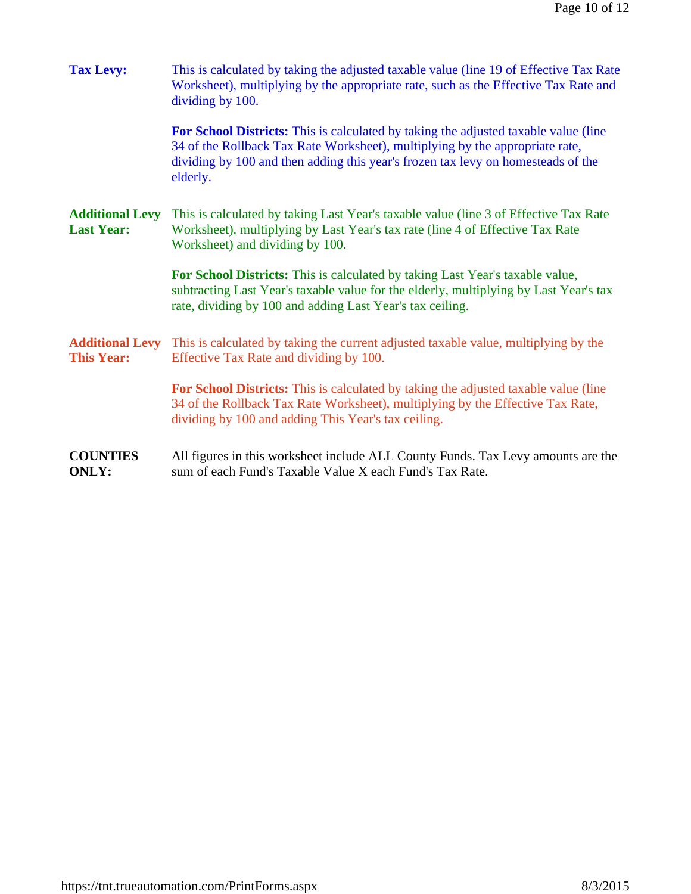| <b>Tax Levy:</b>                            | This is calculated by taking the adjusted taxable value (line 19 of Effective Tax Rate<br>Worksheet), multiplying by the appropriate rate, such as the Effective Tax Rate and<br>dividing by 100.                                                                   |  |  |
|---------------------------------------------|---------------------------------------------------------------------------------------------------------------------------------------------------------------------------------------------------------------------------------------------------------------------|--|--|
|                                             | For School Districts: This is calculated by taking the adjusted taxable value (line<br>34 of the Rollback Tax Rate Worksheet), multiplying by the appropriate rate,<br>dividing by 100 and then adding this year's frozen tax levy on homesteads of the<br>elderly. |  |  |
| <b>Additional Levy</b><br><b>Last Year:</b> | This is calculated by taking Last Year's taxable value (line 3 of Effective Tax Rate<br>Worksheet), multiplying by Last Year's tax rate (line 4 of Effective Tax Rate<br>Worksheet) and dividing by 100.                                                            |  |  |
|                                             | For School Districts: This is calculated by taking Last Year's taxable value,<br>subtracting Last Year's taxable value for the elderly, multiplying by Last Year's tax<br>rate, dividing by 100 and adding Last Year's tax ceiling.                                 |  |  |
| <b>Additional Levy</b><br><b>This Year:</b> | This is calculated by taking the current adjusted taxable value, multiplying by the<br>Effective Tax Rate and dividing by 100.                                                                                                                                      |  |  |
|                                             | <b>For School Districts:</b> This is calculated by taking the adjusted taxable value (line<br>34 of the Rollback Tax Rate Worksheet), multiplying by the Effective Tax Rate,<br>dividing by 100 and adding This Year's tax ceiling.                                 |  |  |
| <b>COUNTIES</b><br><b>ONLY:</b>             | All figures in this worksheet include ALL County Funds. Tax Levy amounts are the<br>sum of each Fund's Taxable Value X each Fund's Tax Rate.                                                                                                                        |  |  |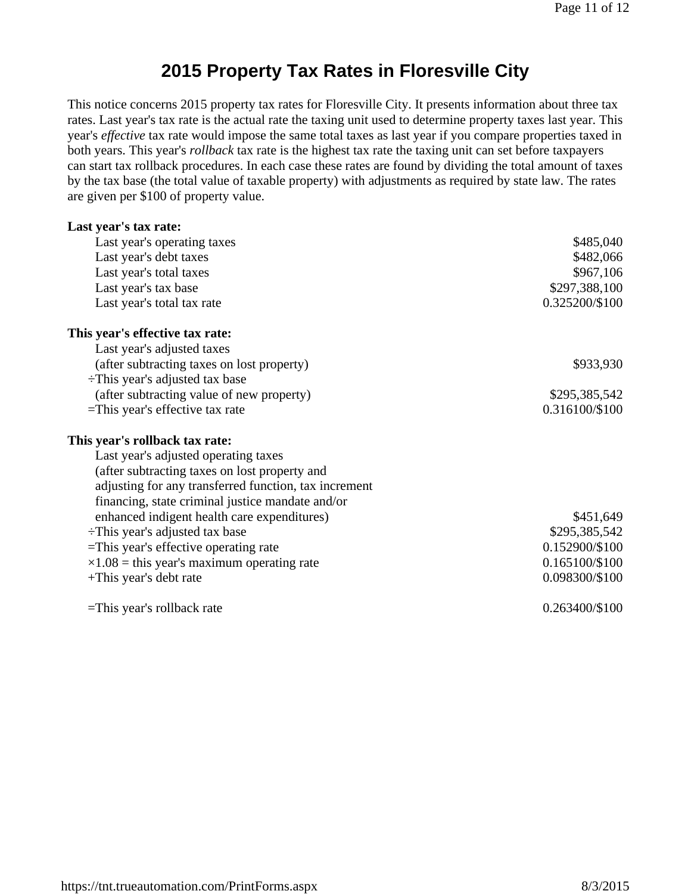### **2015 Property Tax Rates in Floresville City**

This notice concerns 2015 property tax rates for Floresville City. It presents information about three tax rates. Last year's tax rate is the actual rate the taxing unit used to determine property taxes last year. This year's *effective* tax rate would impose the same total taxes as last year if you compare properties taxed in both years. This year's *rollback* tax rate is the highest tax rate the taxing unit can set before taxpayers can start tax rollback procedures. In each case these rates are found by dividing the total amount of taxes by the tax base (the total value of taxable property) with adjustments as required by state law. The rates are given per \$100 of property value.

| Last year's tax rate:                                 |                |
|-------------------------------------------------------|----------------|
| Last year's operating taxes                           | \$485,040      |
| Last year's debt taxes                                | \$482,066      |
| Last year's total taxes                               | \$967,106      |
| Last year's tax base                                  | \$297,388,100  |
| Last year's total tax rate                            | 0.325200/\$100 |
| This year's effective tax rate:                       |                |
| Last year's adjusted taxes                            |                |
| (after subtracting taxes on lost property)            | \$933,930      |
| $\div$ This year's adjusted tax base                  |                |
| (after subtracting value of new property)             | \$295,385,542  |
| $=$ This year's effective tax rate                    | 0.316100/\$100 |
| This year's rollback tax rate:                        |                |
| Last year's adjusted operating taxes                  |                |
| (after subtracting taxes on lost property and         |                |
| adjusting for any transferred function, tax increment |                |
| financing, state criminal justice mandate and/or      |                |
| enhanced indigent health care expenditures)           | \$451,649      |
| $\div$ This year's adjusted tax base                  | \$295,385,542  |
| $=$ This year's effective operating rate              | 0.152900/\$100 |
| $\times 1.08$ = this year's maximum operating rate    | 0.165100/\$100 |
| +This year's debt rate                                | 0.098300/\$100 |
| $=$ This year's rollback rate                         | 0.263400/\$100 |